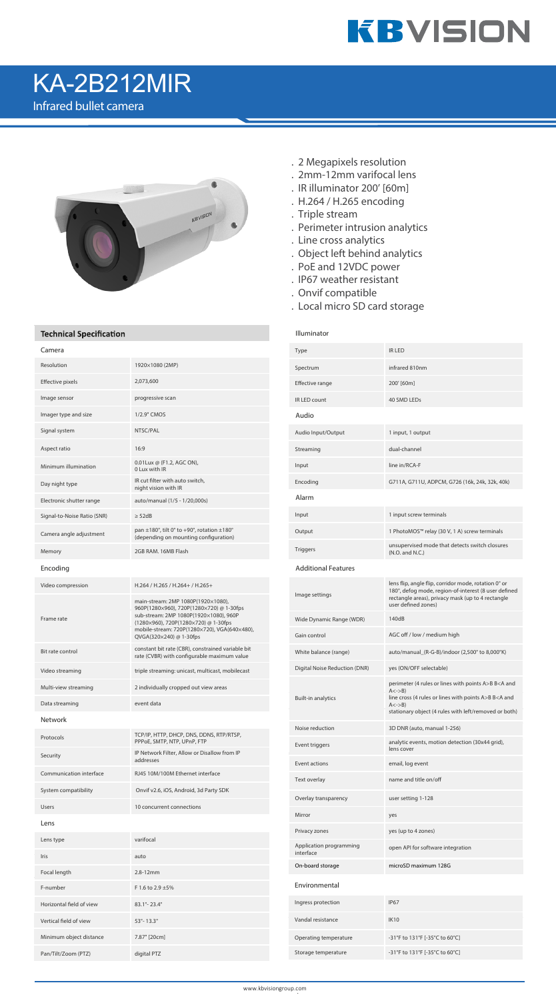

## KA-2B212MIR

Infrared bullet camera



## **Technical Specification**

| Camera                      |                                                                                                  | Type                                |  |  |
|-----------------------------|--------------------------------------------------------------------------------------------------|-------------------------------------|--|--|
| Resolution                  | 1920×1080 (2MP)                                                                                  | Spectrum                            |  |  |
| Effective pixels            | 2,073,600                                                                                        | Effective range                     |  |  |
| Image sensor                | progressive scan                                                                                 | IR LED count                        |  |  |
| Imager type and size        | 1/2.9" CMOS                                                                                      | Audio                               |  |  |
| Signal system               | NTSC/PAL                                                                                         | Audio Input/Output                  |  |  |
| Aspect ratio                | 16:9                                                                                             | Streaming                           |  |  |
| Minimum illumination        | 0.01 Lux @ (F1.2, AGC ON),<br>0 Lux with IR                                                      | Input                               |  |  |
| Day night type              | IR cut filter with auto switch,<br>night vision with IR                                          | Encoding                            |  |  |
| Electronic shutter range    | auto/manual (1/5 - 1/20,000s)                                                                    | Alarm                               |  |  |
| Signal-to-Noise Ratio (SNR) | $\geq$ 52dB                                                                                      | Input                               |  |  |
| Camera angle adjustment     | pan $\pm$ 180°, tilt 0° to +90°, rotation $\pm$ 180°<br>(depending on mounting configuration)    | Output                              |  |  |
| Memory                      | 2GB RAM, 16MB Flash                                                                              | <b>Triggers</b>                     |  |  |
| Encoding                    |                                                                                                  | <b>Additional Features</b>          |  |  |
| Video compression           | H.264 / H.265 / H.264+ / H.265+                                                                  |                                     |  |  |
|                             | main-stream: 2MP 1080P(1920×1080),<br>960P(1280×960), 720P(1280×720) @ 1-30fps                   | Image settings                      |  |  |
| Frame rate                  | sub-stream: 2MP 1080P(1920×1080), 960P<br>(1280×960), 720P(1280×720) @ 1-30fps                   | Wide Dynamic Range (W               |  |  |
|                             | mobile-stream: 720P(1280×720), VGA(640×480),<br>QVGA(320×240) @ 1-30fps                          | Gain control                        |  |  |
| Bit rate control            | constant bit rate (CBR), constrained variable bit<br>rate (CVBR) with configurable maximum value | White balance (range)               |  |  |
| Video streaming             | triple streaming: unicast, multicast, mobilecast                                                 | Digital Noise Reduction             |  |  |
| Multi-view streaming        | 2 individually cropped out view areas                                                            |                                     |  |  |
| Data streaming              | event data                                                                                       | <b>Built-in analytics</b>           |  |  |
| <b>Network</b>              |                                                                                                  |                                     |  |  |
| Protocols                   | TCP/IP, HTTP, DHCP, DNS, DDNS, RTP/RTSP,<br>PPPoE, SMTP, NTP, UPnP, FTP                          | Noise reduction                     |  |  |
| Security                    | IP Network Filter, Allow or Disallow from IP<br>addresses                                        | Event triggers                      |  |  |
| Communication interface     | RJ45 10M/100M Ethernet interface                                                                 | Event actions                       |  |  |
| System compatibility        | Onvif v2.6, iOS, Android, 3d Party SDK                                                           | Text overlay                        |  |  |
| <b>Users</b>                | 10 concurrent connections                                                                        | Overlay transparency                |  |  |
| Lens                        |                                                                                                  | Mirror                              |  |  |
| Lens type                   | varifocal                                                                                        | Privacy zones                       |  |  |
| Iris                        | auto                                                                                             | Application programmin<br>interface |  |  |
| Focal length                | 2.8-12mm                                                                                         | On-board storage                    |  |  |
| F-number                    | F 1.6 to 2.9 ±5%                                                                                 | Environmental                       |  |  |
| Horizontal field of view    | 83.1° - 23.4°                                                                                    | Ingress protection                  |  |  |
| Vertical field of view      | $53^{\circ}$ - 13.3 $^{\circ}$                                                                   | Vandal resistance                   |  |  |
| Minimum object distance     | 7.87" [20cm]                                                                                     | Operating temperature               |  |  |
| Pan/Tilt/Zoom (PTZ)         | digital PTZ                                                                                      | Storage temperature                 |  |  |

- . 2 Megapixels resolution
- . 2mm-12mm varifocal lens
- . IR illuminator 200' [60m]
- . H.264 / H.265 encoding
- . Triple stream
- . Perimeter intrusion analytics
- . Line cross analytics
- . Object left behind analytics
- . PoE and 12VDC power
- . IP67 weather resistant
- . Onvif compatible
- . Local micro SD card storage

## Illuminator

| Type                                 | <b>IR LED</b>                                                                                                                                                                                                                                      |
|--------------------------------------|----------------------------------------------------------------------------------------------------------------------------------------------------------------------------------------------------------------------------------------------------|
| Spectrum                             | infrared 810nm                                                                                                                                                                                                                                     |
| Effective range                      | 200' [60m]                                                                                                                                                                                                                                         |
| IR LED count                         | 40 SMD LEDs                                                                                                                                                                                                                                        |
| Audio                                |                                                                                                                                                                                                                                                    |
| Audio Input/Output                   | 1 input, 1 output                                                                                                                                                                                                                                  |
| Streaming                            | dual-channel                                                                                                                                                                                                                                       |
| Input                                | line in/RCA-F                                                                                                                                                                                                                                      |
| Encoding                             | G711A, G711U, ADPCM, G726 (16k, 24k, 32k, 40k)                                                                                                                                                                                                     |
| Alarm                                |                                                                                                                                                                                                                                                    |
| Input                                | 1 input screw terminals                                                                                                                                                                                                                            |
| Output                               | 1 PhotoMOS™ relay (30 V, 1 A) screw terminals                                                                                                                                                                                                      |
| Triggers                             | unsupervised mode that detects switch closures<br>(N.O. and N.C.)                                                                                                                                                                                  |
| <b>Additional Features</b>           |                                                                                                                                                                                                                                                    |
| Image settings                       | lens flip, angle flip, corridor mode, rotation 0° or<br>180°, defog mode, region-of-interest (8 user defined<br>rectangle areas), privacy mask (up to 4 rectangle<br>user defined zones)                                                           |
| Wide Dynamic Range (WDR)             | 140dB                                                                                                                                                                                                                                              |
| Gain control                         | AGC off / low / medium high                                                                                                                                                                                                                        |
| White balance (range)                | auto/manual_(R-G-B)/indoor (2,500° to 8,000°K)                                                                                                                                                                                                     |
| Digital Noise Reduction (DNR)        | yes (ON/OFF selectable)                                                                                                                                                                                                                            |
| <b>Built-in analytics</b>            | perimeter (4 rules or lines with points A>B B <a and<br=""><math>A \le -\ge B</math><br/>line cross (4 rules or lines with points A&gt;B B<a and<br=""><math>A \le -\ge B</math><br/>stationary object (4 rules with left/removed or both)</a></a> |
| Noise reduction                      | 3D DNR (auto, manual 1-256)                                                                                                                                                                                                                        |
| Event triggers                       | analytic events, motion detection (30x44 grid),<br>lens cover                                                                                                                                                                                      |
| Event actions                        | email, log event                                                                                                                                                                                                                                   |
| Text overlay                         | name and title on/off                                                                                                                                                                                                                              |
| Overlay transparency                 | user setting 1-128                                                                                                                                                                                                                                 |
| Mirror                               | yes                                                                                                                                                                                                                                                |
| Privacy zones                        | yes (up to 4 zones)                                                                                                                                                                                                                                |
| Application programming<br>interface | open API for software integration                                                                                                                                                                                                                  |
| On-board storage                     | microSD maximum 128G                                                                                                                                                                                                                               |
| Environmental                        |                                                                                                                                                                                                                                                    |
| Ingress protection                   | <b>IP67</b>                                                                                                                                                                                                                                        |
| Vandal resistance                    | <b>IK10</b>                                                                                                                                                                                                                                        |
| Operating temperature                | -31°F to 131°F [-35°C to 60°C]                                                                                                                                                                                                                     |
| Storage temperature                  | -31°F to 131°F [-35°C to 60°C]                                                                                                                                                                                                                     |